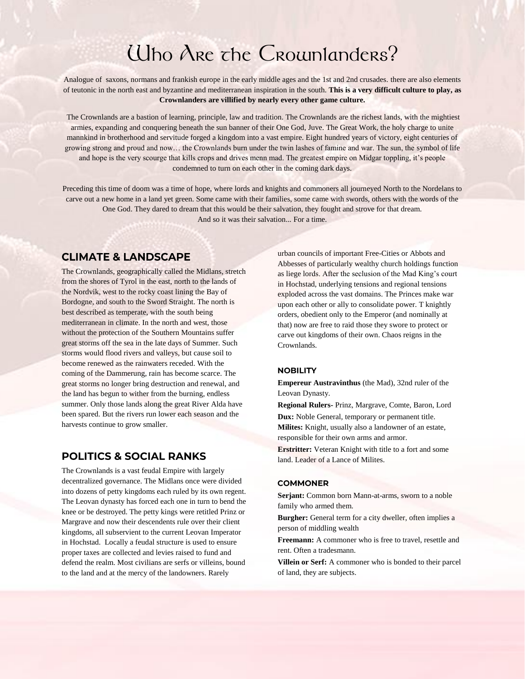## Uho Are the Crounlanders?

Analogue of saxons, normans and frankish europe in the early middle ages and the 1st and 2nd crusades. there are also elements of teutonic in the north east and byzantine and mediterranean inspiration in the south. **This is a very difficult culture to play, as Crownlanders are villified by nearly every other game culture.**

The Crownlands are a bastion of learning, principle, law and tradition. The Crownlands are the richest lands, with the mightiest armies, expanding and conquering beneath the sun banner of their One God, Juve. The Great Work, the holy charge to unite mannkind in brotherhood and servitude forged a kingdom into a vast empire. Eight hundred years of victory, eight centuries of growing strong and proud and now… the Crownlands burn under the twin lashes of famine and war. The sun, the symbol of life and hope is the very scourge that kills crops and drives menn mad. The greatest empire on Midgar toppling, it's people condemned to turn on each other in the coming dark days.

Preceding this time of doom was a time of hope, where lords and knights and commoners all journeyed North to the Nordelans to carve out a new home in a land yet green. Some came with their families, some came with swords, others with the words of the One God. They dared to dream that this would be their salvation, they fought and strove for that dream. And so it was their salvation... For a time.

## **CLIMATE & LANDSCAPE**

The Crownlands, geographically called the Midlans, stretch from the shores of Tyrol in the east, north to the lands of the Nordvik, west to the rocky coast lining the Bay of Bordogne, and south to the Sword Straight. The north is best described as temperate, with the south being mediterranean in climate. In the north and west, those without the protection of the Southern Mountains suffer great storms off the sea in the late days of Summer. Such storms would flood rivers and valleys, but cause soil to become renewed as the rainwaters receded. With the coming of the Dammerung, rain has become scarce. The great storms no longer bring destruction and renewal, and the land has begun to wither from the burning, endless summer. Only those lands along the great River Alda have been spared. But the rivers run lower each season and the harvests continue to grow smaller.

## **POLITICS & SOCIAL RANKS**

The Crownlands is a vast feudal Empire with largely decentralized governance. The Midlans once were divided into dozens of petty kingdoms each ruled by its own regent. The Leovan dynasty has forced each one in turn to bend the knee or be destroyed. The petty kings were retitled Prinz or Margrave and now their descendents rule over their client kingdoms, all subservient to the current Leovan Imperator in Hochstad. Locally a feudal structure is used to ensure proper taxes are collected and levies raised to fund and defend the realm. Most civilians are serfs or villeins, bound to the land and at the mercy of the landowners. Rarely

urban councils of important Free-Cities or Abbots and Abbesses of particularly wealthy church holdings function as liege lords. After the seclusion of the Mad King's court in Hochstad, underlying tensions and regional tensions exploded across the vast domains. The Princes make war upon each other or ally to consolidate power. T knightly orders, obedient only to the Emperor (and nominally at that) now are free to raid those they swore to protect or carve out kingdoms of their own. Chaos reigns in the Crownlands.

#### **NOBILITY**

**Empereur Austravinthus** (the Mad), 32nd ruler of the Leovan Dynasty.

**Regional Rulers-** Prinz, Margrave, Comte, Baron, Lord

**Dux:** Noble General, temporary or permanent title. **Milites:** Knight, usually also a landowner of an estate, responsible for their own arms and armor.

**Erstritter:** Veteran Knight with title to a fort and some land. Leader of a Lance of Milites.

#### **COMMONER**

Serjant: Common born Mann-at-arms, sworn to a noble family who armed them.

**Burgher:** General term for a city dweller, often implies a person of middling wealth

**Freemann:** A commoner who is free to travel, resettle and rent. Often a tradesmann.

**Villein or Serf:** A commoner who is bonded to their parcel of land, they are subjects.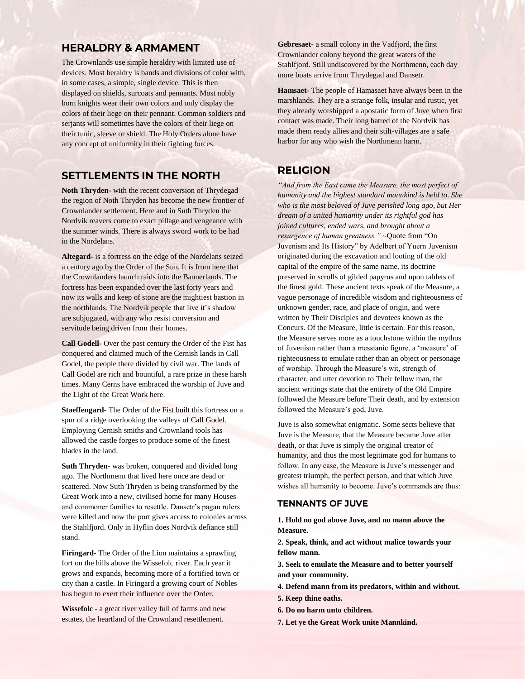## **HERALDRY & ARMAMENT**

The Crownlands use simple heraldry with limited use of devices. Most heraldry is bands and divisions of color with, in some cases, a simple, single device. This is then displayed on shields, surcoats and pennants. Most nobly born knights wear their own colors and only display the colors of their liege on their pennant. Common soldiers and serjants will sometimes have the colors of their liege on their tunic, sleeve or shield. The Holy Orders alone have any concept of uniformity in their fighting forces.

### **SETTLEMENTS IN THE NORTH**

**Noth Thryden-** with the recent conversion of Thrydegad the region of Noth Thryden has become the new frontier of Crownlander settlement. Here and in Suth Thryden the Nordvik reavers come to exact pillage and vengeance with the summer winds. There is always sword work to be had in the Nordelans.

**Altegard-** is a fortress on the edge of the Nordelans seized a century ago by the Order of the Sun. It is from here that the Crownlanders launch raids into the Bannerlands. The fortress has been expanded over the last forty years and now its walls and keep of stone are the mightiest bastion in the northlands. The Nordvik people that live it's shadow are subjugated, with any who resist conversion and servitude being driven from their homes.

**Call Godell-** Over the past century the Order of the Fist has conquered and claimed much of the Cernish lands in Call Godel, the people there divided by civil war. The lands of Call Godel are rich and bountiful, a rare prize in these harsh times. Many Cerns have embraced the worship of Juve and the Light of the Great Work here.

**Staeffengard-** The Order of the Fist built this fortress on a spur of a ridge overlooking the valleys of Call Godel. Employing Cernish smiths and Crownland tools has allowed the castle forges to produce some of the finest blades in the land.

**Suth Thryden-** was broken, conquered and divided long ago. The Northmenn that lived here once are dead or scattered. Now Suth Thryden is being transformed by the Great Work into a new, civilised home for many Houses and commoner families to resettle. Dansetr's pagan rulers were killed and now the port gives access to colonies across the Stahlfjord. Only in Hyflin does Nordvik defiance still stand.

**Firingard-** The Order of the Lion maintains a sprawling fort on the hills above the Wissefolc river. Each year it grows and expands, becoming more of a fortified town or city than a castle. In Firingard a growing court of Nobles has begun to exert their influence over the Order.

**Wissefolc -** a great river valley full of farms and new estates, the heartland of the Crownland resettlement.

**Gebresaet-** a small colony in the Vadfjord, the first Crownlander colony beyond the great waters of the Stahlfjord. Still undiscovered by the Northmenn, each day more boats arrive from Thrydegad and Dansetr.

**Hamsaet-** The people of Hamasaet have always been in the marshlands. They are a strange folk, insular and rustic, yet they already worshipped a apostatic form of Juve when first contact was made. Their long hatred of the Nordvik has made them ready allies and their stilt-villages are a safe harbor for any who wish the Northmenn harm.

## **RELIGION**

*"And from the East came the Measure, the most perfect of humanity and the highest standard mannkind is held to. She who is the most beloved of Juve perished long ago, but Her dream of a united humanity under its rightful god has joined cultures, ended wars, and brought about a resurgence of human greatness."* ~Quote from "On Juvenism and Its History" by Adelbert of Yuern Juvenism originated during the excavation and looting of the old capital of the empire of the same name, its doctrine preserved in scrolls of gilded papyrus and upon tablets of the finest gold. These ancient texts speak of the Measure, a vague personage of incredible wisdom and righteousness of unknown gender, race, and place of origin, and were written by Their Disciples and devotees known as the Concurs. Of the Measure, little is certain. For this reason, the Measure serves more as a touchstone within the mythos of Juvenism rather than a messianic figure, a 'measure' of righteousness to emulate rather than an object or personage of worship. Through the Measure's wit, strength of character, and utter devotion to Their fellow man, the ancient writings state that the entirety of the Old Empire followed the Measure before Their death, and by extension followed the Measure's god, Juve.

Juve is also somewhat enigmatic. Some sects believe that Juve is the Measure, that the Measure became Juve after death, or that Juve is simply the original creator of humanity, and thus the most legitimate god for humans to follow. In any case, the Measure is Juve's messenger and greatest triumph, the perfect person, and that which Juve wishes all humanity to become. Juve's commands are thus:

#### **TENNANTS OF JUVE**

**1. Hold no god above Juve, and no mann above the Measure.**

**2. Speak, think, and act without malice towards your fellow mann.**

**3. Seek to emulate the Measure and to better yourself and your community.**

- **4. Defend mann from its predators, within and without.**
- **5. Keep thine oaths.**
- **6. Do no harm unto children.**
- **7. Let ye the Great Work unite Mannkind.**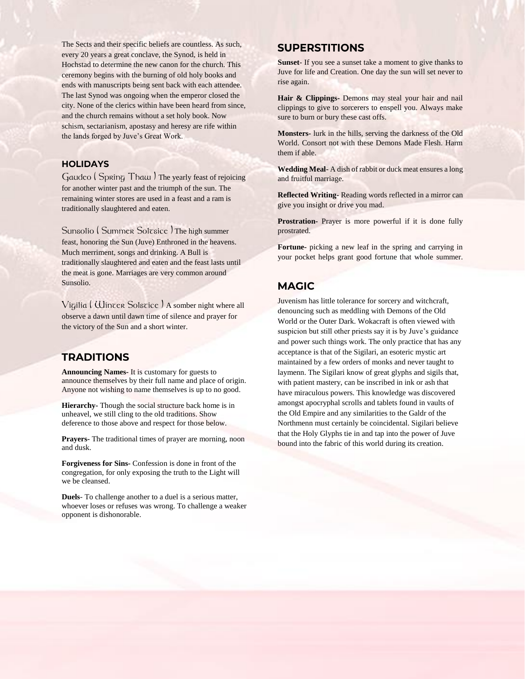The Sects and their specific beliefs are countless. As such, every 20 years a great conclave, the Synod, is held in Hochstad to determine the new canon for the church. This ceremony begins with the burning of old holy books and ends with manuscripts being sent back with each attendee. The last Synod was ongoing when the emperor closed the city. None of the clerics within have been heard from since, and the church remains without a set holy book. Now schism, sectarianism, apostasy and heresy are rife within the lands forged by Juve's Great Work.

#### **HOLIDAYS**

Gaudeo ( Spring Thaw ) The yearly feast of rejoicing for another winter past and the triumph of the sun. The remaining winter stores are used in a feast and a ram is traditionally slaughtered and eaten.

Sunsolio (Summer Solzsice) The high summer feast, honoring the Sun (Juve) Enthroned in the heavens. Much merriment, songs and drinking. A Bull is traditionally slaughtered and eaten and the feast lasts until the meat is gone. Marriages are very common around Sunsolio.

Vigilia ( Winter Solstice ) A somber night where all observe a dawn until dawn time of silence and prayer for the victory of the Sun and a short winter.

## **TRADITIONS**

**Announcing Names-** It is customary for guests to announce themselves by their full name and place of origin. Anyone not wishing to name themselves is up to no good.

**Hierarchy-** Though the social structure back home is in unheavel, we still cling to the old traditions. Show deference to those above and respect for those below.

**Prayers-** The traditional times of prayer are morning, noon and dusk.

**Forgiveness for Sins-** Confession is done in front of the congregation, for only exposing the truth to the Light will we be cleansed.

**Duels**- To challenge another to a duel is a serious matter, whoever loses or refuses was wrong. To challenge a weaker opponent is dishonorable.

## **SUPERSTITIONS**

**Sunset**- If you see a sunset take a moment to give thanks to Juve for life and Creation. One day the sun will set never to rise again.

**Hair & Clippings-** Demons may steal your hair and nail clippings to give to sorcerers to enspell you. Always make sure to burn or bury these cast offs.

**Monsters-** lurk in the hills, serving the darkness of the Old World. Consort not with these Demons Made Flesh. Harm them if able.

**Wedding Meal-** A dish of rabbit or duck meat ensures a long and fruitful marriage.

**Reflected Writing-** Reading words reflected in a mirror can give you insight or drive you mad.

**Prostration-** Prayer is more powerful if it is done fully prostrated.

**Fortune-** picking a new leaf in the spring and carrying in your pocket helps grant good fortune that whole summer.

## **MAGIC**

Juvenism has little tolerance for sorcery and witchcraft, denouncing such as meddling with Demons of the Old World or the Outer Dark. Wokacraft is often viewed with suspicion but still other priests say it is by Juve's guidance and power such things work. The only practice that has any acceptance is that of the Sigilari, an esoteric mystic art maintained by a few orders of monks and never taught to laymenn. The Sigilari know of great glyphs and sigils that, with patient mastery, can be inscribed in ink or ash that have miraculous powers. This knowledge was discovered amongst apocryphal scrolls and tablets found in vaults of the Old Empire and any similarities to the Galdr of the Northmenn must certainly be coincidental. Sigilari believe that the Holy Glyphs tie in and tap into the power of Juve bound into the fabric of this world during its creation.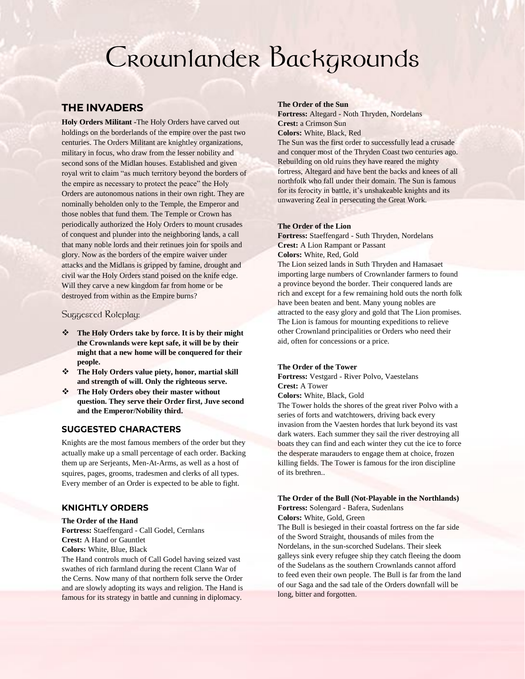# Crownlander Backgrounds

## **THE INVADERS**

**Holy Orders Militant -**The Holy Orders have carved out holdings on the borderlands of the empire over the past two centuries. The Orders Militant are knightley organizations, military in focus, who draw from the lesser nobility and second sons of the Midlan houses. Established and given royal writ to claim "as much territory beyond the borders of the empire as necessary to protect the peace" the Holy Orders are autonomous nations in their own right. They are nominally beholden only to the Temple, the Emperor and those nobles that fund them. The Temple or Crown has periodically authorized the Holy Orders to mount crusades of conquest and plunder into the neighboring lands, a call that many noble lords and their retinues join for spoils and glory. Now as the borders of the empire waiver under attacks and the Midlans is gripped by famine, drought and civil war the Holy Orders stand poised on the knife edge. Will they carve a new kingdom far from home or be destroyed from within as the Empire burns?

Suggested Roleplay:

- ❖ **The Holy Orders take by force. It is by their might the Crownlands were kept safe, it will be by their might that a new home will be conquered for their people.**
- ❖ **The Holy Orders value piety, honor, martial skill and strength of will. Only the righteous serve.**
- ❖ **The Holy Orders obey their master without question. They serve their Order first, Juve second and the Emperor/Nobility third.**

#### **SUGGESTED CHARACTERS**

Knights are the most famous members of the order but they actually make up a small percentage of each order. Backing them up are Serjeants, Men-At-Arms, as well as a host of squires, pages, grooms, tradesmen and clerks of all types. Every member of an Order is expected to be able to fight.

#### **KNIGHTLY ORDERS**

#### **The Order of the Hand**

**Fortress:** Staeffengard - Call Godel, Cernlans **Crest:** A Hand or Gauntlet **Colors:** White, Blue, Black

The Hand controls much of Call Godel having seized vast swathes of rich farmland during the recent Clann War of the Cerns. Now many of that northern folk serve the Order and are slowly adopting its ways and religion. The Hand is famous for its strategy in battle and cunning in diplomacy.

#### **The Order of the Sun**

**Fortress:** Altegard - Noth Thryden, Nordelans **Crest:** a Crimson Sun

**Colors:** White, Black, Red

The Sun was the first order to successfully lead a crusade and conquer most of the Thryden Coast two centuries ago. Rebuilding on old ruins they have reared the mighty fortress, Altegard and have bent the backs and knees of all northfolk who fall under their domain. The Sun is famous for its ferocity in battle, it's unshakeable knights and its unwavering Zeal in persecuting the Great Work.

#### **The Order of the Lion**

**Fortress:** Staeffengard - Suth Thryden, Nordelans **Crest:** A Lion Rampant or Passant **Colors:** White, Red, Gold

The Lion seized lands in Suth Thryden and Hamasaet importing large numbers of Crownlander farmers to found a province beyond the border. Their conquered lands are rich and except for a few remaining hold outs the north folk have been beaten and bent. Many young nobles are attracted to the easy glory and gold that The Lion promises. The Lion is famous for mounting expeditions to relieve other Crownland principalities or Orders who need their aid, often for concessions or a price.

#### **The Order of the Tower**

**Fortress:** Vestgard - River Polvo, Vaestelans **Crest:** A Tower

**Colors:** White, Black, Gold

The Tower holds the shores of the great river Polvo with a series of forts and watchtowers, driving back every invasion from the Vaesten hordes that lurk beyond its vast dark waters. Each summer they sail the river destroying all boats they can find and each winter they cut the ice to force the desperate marauders to engage them at choice, frozen killing fields. The Tower is famous for the iron discipline of its brethren..

#### **The Order of the Bull (Not-Playable in the Northlands) Fortress:** Solengard - Bafera, Sudenlans

**Colors:** White, Gold, Green

The Bull is besieged in their coastal fortress on the far side of the Sword Straight, thousands of miles from the Nordelans, in the sun-scorched Sudelans. Their sleek galleys sink every refugee ship they catch fleeing the doom of the Sudelans as the southern Crownlands cannot afford to feed even their own people. The Bull is far from the land of our Saga and the sad tale of the Orders downfall will be long, bitter and forgotten.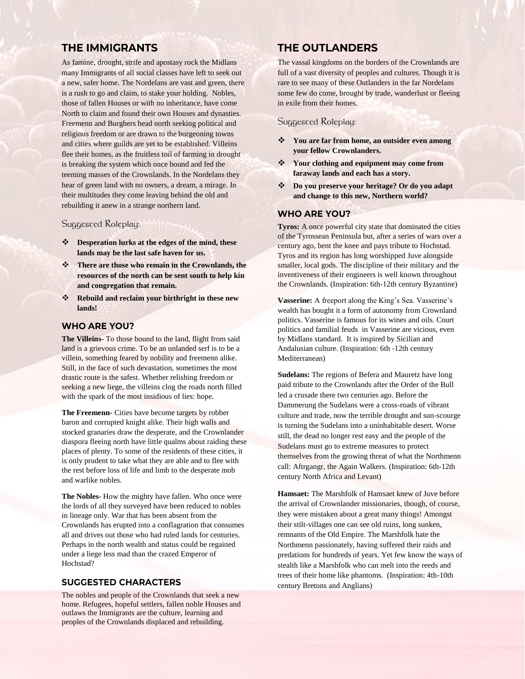## **THE IMMIGRANTS**

As famine, drought, strife and apostasy rock the Midlans many Immigrants of all social classes have left to seek out a new, safer home. The Nordelans are vast and green, there is a rush to go and claim, to stake your holding. Nobles, those of fallen Houses or with no inheritance, have come North to claim and found their own Houses and dynasties. Freemenn and Burghers head north seeking political and religious freedom or are drawn to the burgeoning towns and cities where guilds are yet to be established. Villeins flee their homes, as the fruitless toil of farming in drought is breaking the system which once bound and fed the teeming masses of the Crownlands. In the Nordelans they hear of green land with no owners, a dream, a mirage. In their multitudes they come leaving behind the old and rebuilding it anew in a strange northern land.

#### Suggested Roleplay:

- ❖ **Desperation lurks at the edges of the mind, these lands may be the last safe haven for us.**
- ❖ **There are those who remain in the Crownlands, the resources of the north can be sent south to help kin and congregation that remain.**
- ❖ **Rebuild and reclaim your birthright in these new lands!**

#### **WHO ARE YOU?**

**The Villeins-** To those bound to the land, flight from said land is a grievous crime. To be an unlanded serf is to be a villein, something feared by nobility and freemenn alike. Still, in the face of such devastation, sometimes the most drastic route is the safest. Whether relishing freedom or seeking a new liege, the villeins clog the roads north filled with the spark of the most insidious of lies: hope.

**The Freemenn-** Cities have become targets by robber baron and corrupted knight alike. Their high walls and stocked granaries draw the desperate, and the Crownlander diaspora fleeing north have little qualms about raiding these places of plenty. To some of the residents of these cities, it is only prudent to take what they are able and to flee with the rest before loss of life and limb to the desperate mob and warlike nobles.

**The Nobles-** How the mighty have fallen. Who once were the lords of all they surveyed have been reduced to nobles in lineage only. War that has been absent from the Crownlands has erupted into a conflagration that consumes all and drives out those who had ruled lands for centuries. Perhaps in the north wealth and status could be regained under a liege less mad than the crazed Emperor of Hochstad?

#### **SUGGESTED CHARACTERS**

The nobles and people of the Crownlands that seek a new home. Refugees, hopeful settlers, fallen noble Houses and outlaws the Immigrants are the culture, learning and peoples of the Crownlands displaced and rebuilding.

## **THE OUTLANDERS**

The vassal kingdoms on the borders of the Crownlands are full of a vast diversity of peoples and cultures. Though it is rare to see many of these Outlanders in the far Nordelans some few do come, brought by trade, wanderlust or fleeing in exile from their homes.

#### Suggested Roleplay:

- ❖ **You are far from home, an outsider even among your fellow Crownlanders.**
- ❖ **Your clothing and equipment may come from faraway lands and each has a story.**
- ❖ **Do you preserve your heritage? Or do you adapt and change to this new, Northern world?**

#### **WHO ARE YOU?**

**Tyros:** A once powerful city state that dominated the cities of the Tyrossean Peninsula but, after a series of wars over a century ago, bent the knee and pays tribute to Hochstad. Tyros and its region has long worshipped Juve alongside smaller, local gods. The discipline of their military and the inventiveness of their engineers is well known throughout the Crownlands. (Inspiration: 6th-12th century Byzantine)

**Vasserine:** A freeport along the King's Sea. Vasserine's wealth has bought it a form of autonomy from Crownland politics. Vasserine is famous for its wines and oils. Court politics and familial feuds in Vasserine are vicious, even by Midlans standard. It is inspired by Sicilian and Andalusian culture. (Inspiration: 6th -12th century Mediterranean)

**Sudelans:** The regions of Befera and Mauretz have long paid tribute to the Crownlands after the Order of the Bull led a crusade there two centuries ago. Before the Dammerung the Sudelans were a cross-roads of vibrant culture and trade, now the terrible drought and sun-scourge is turning the Sudelans into a uninhabitable desert. Worse still, the dead no longer rest easy and the people of the Sudelans must go to extreme measures to protect themselves from the growing threat of what the Northmenn call: Aftrgangr, the Again Walkers. (Inspiration: 6th-12th century North Africa and Levant)

**Hamsaet:** The Marshfolk of Hamsaet knew of Juve before the arrival of Crownlander missionaries, though, of course, they were mistaken about a great many things! Amongst their stilt-villages one can see old ruins, long sunken, remnants of the Old Empire. The Marshfolk hate the Northmenn passionately, having suffered their raids and predations for hundreds of years. Yet few know the ways of stealth like a Marshfolk who can melt into the reeds and trees of their home like phantoms. (Inspiration: 4th-10th century Bretons and Anglians)